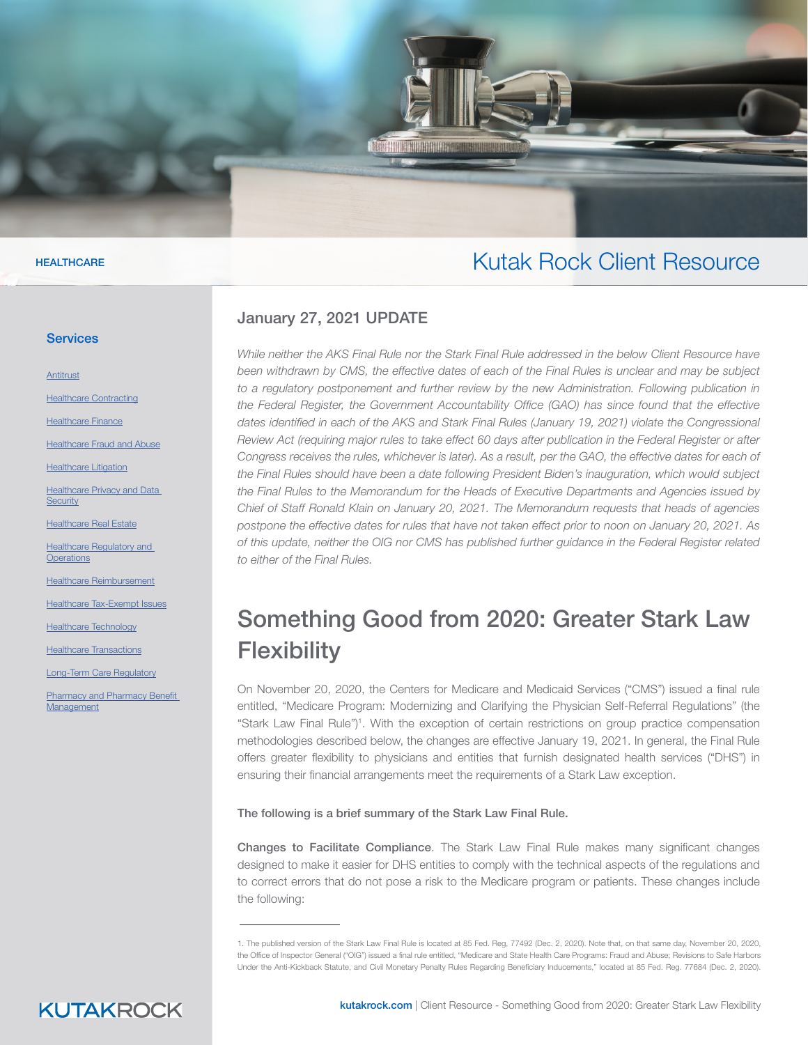#### Kutak Rock Client Resource

#### January 27, 2021 UPDATE

**A MARINE DE LA CALIF** 

*While neither the AKS Final Rule nor the Stark Final Rule addressed in the below Client Resource have been withdrawn by CMS, the effective dates of each of the Final Rules is unclear and may be subject*  to a regulatory postponement and further review by the new Administration. Following publication in the Federal Register, the Government Accountability Office (GAO) has since found that the effective dates identified in each of the AKS and Stark Final Rules (January 19, 2021) violate the Congressional *Review Act (requiring major rules to take effect 60 days after publication in the Federal Register or after*  Congress receives the rules, whichever is later). As a result, per the GAO, the effective dates for each of *the Final Rules should have been a date following President Biden's inauguration, which would subject the Final Rules to the Memorandum for the Heads of Executive Departments and Agencies issued by Chief of Staff Ronald Klain on January 20, 2021. The Memorandum requests that heads of agencies postpone the effective dates for rules that have not taken effect prior to noon on January 20, 2021. As of this update, neither the OIG nor CMS has published further guidance in the Federal Register related to either of the Final Rules.*

### Something Good from 2020: Greater Stark Law **Flexibility**

On November 20, 2020, the Centers for Medicare and Medicaid Services ("CMS") issued a final rule entitled, "Medicare Program: Modernizing and Clarifying the Physician Self-Referral Regulations" (the "Stark Law Final Rule")<sup>1</sup>. With the exception of certain restrictions on group practice compensation methodologies described below, the changes are effective January 19, 2021. In general, the Final Rule offers greater flexibility to physicians and entities that furnish designated health services ("DHS") in ensuring their financial arrangements meet the requirements of a Stark Law exception.

The following is a brief summary of the Stark Law Final Rule.

Changes to Facilitate Compliance. The Stark Law Final Rule makes many significant changes designed to make it easier for DHS entities to comply with the technical aspects of the regulations and to correct errors that do not pose a risk to the Medicare program or patients. These changes include the following:

#### **HEALTHCARE**

#### **Services**

**[Antitrust](https://www.kutakrock.com/services/practices/litigation/antitrust)** 

[Healthcare Contracting](https://www.kutakrock.com/services/practices/healthcare/healthcare-contracting)

**[Healthcare Finance](https://www.kutakrock.com/services/practices/healthcare/healthcare-finance)** 

[Healthcare Fraud and Abuse](https://www.kutakrock.com/services/practices/healthcare/healthcare-fraud-and-abuse)

[Healthcare Litigation](https://www.kutakrock.com/services/practices/litigation/healthcare-litigation)

**Healthcare Privacy and Data [Security](https://www.kutakrock.com/services/practices/healthcare/healthcare-privacy-and-data-security)** 

**[Healthcare Real Estate](https://www.kutakrock.com/services/practices/healthcare/healthcare-real-estate)** 

Healthcare Regulatory and **[Operations](https://www.kutakrock.com/services/practices/healthcare/healthcare-regulatory-and-operations)** 

**[Healthcare Reimbursement](https://www.kutakrock.com/services/practices/healthcare/healthcare-reimbursement)** 

[Healthcare Tax-Exempt Issues](https://www.kutakrock.com/services/practices/healthcare/healthcare-tax-exempt-issues)

**[Healthcare Technology](https://www.kutakrock.com/services/practices/healthcare/healthcare-technology)** 

[Healthcare Transactions](https://www.kutakrock.com/services/practices/healthcare/healthcare-transactions)

[Long-Term Care Regulatory](https://www.kutakrock.com/services/practices/healthcare/long-term-care-regulatory)

**Pharmacy and Pharmacy Benefit** [Management](https://www.kutakrock.com/services/practices/healthcare/pharmacy-and-pharmacy-benefit-management)

<sup>1.</sup> The published version of the Stark Law Final Rule is located at 85 Fed. Reg, 77492 (Dec. 2, 2020). Note that, on that same day, November 20, 2020, the Office of Inspector General ("OIG") issued a final rule entitled, "Medicare and State Health Care Programs: Fraud and Abuse; Revisions to Safe Harbors Under the Anti-Kickback Statute, and Civil Monetary Penalty Rules Regarding Beneficiary Inducements," located at 85 Fed. Reg. 77684 (Dec. 2, 2020).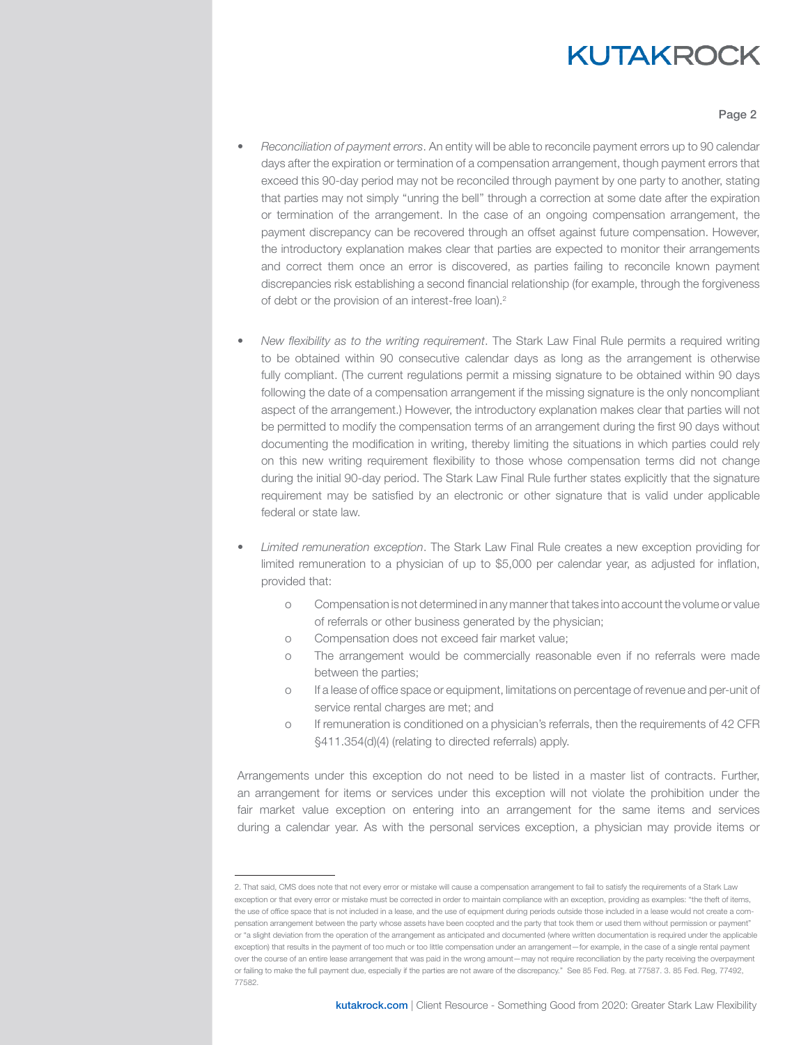#### Page 2

- *• Reconciliation of payment errors*. An entity will be able to reconcile payment errors up to 90 calendar days after the expiration or termination of a compensation arrangement, though payment errors that exceed this 90-day period may not be reconciled through payment by one party to another, stating that parties may not simply ''unring the bell'' through a correction at some date after the expiration or termination of the arrangement. In the case of an ongoing compensation arrangement, the payment discrepancy can be recovered through an offset against future compensation. However, the introductory explanation makes clear that parties are expected to monitor their arrangements and correct them once an error is discovered, as parties failing to reconcile known payment discrepancies risk establishing a second financial relationship (for example, through the forgiveness of debt or the provision of an interest-free loan).<sup>2</sup>
- *• New flexibility as to the writing requirement*. The Stark Law Final Rule permits a required writing to be obtained within 90 consecutive calendar days as long as the arrangement is otherwise fully compliant. (The current regulations permit a missing signature to be obtained within 90 days following the date of a compensation arrangement if the missing signature is the only noncompliant aspect of the arrangement.) However, the introductory explanation makes clear that parties will not be permitted to modify the compensation terms of an arrangement during the first 90 days without documenting the modification in writing, thereby limiting the situations in which parties could rely on this new writing requirement flexibility to those whose compensation terms did not change during the initial 90-day period. The Stark Law Final Rule further states explicitly that the signature requirement may be satisfied by an electronic or other signature that is valid under applicable federal or state law.
- *• Limited remuneration exception*. The Stark Law Final Rule creates a new exception providing for limited remuneration to a physician of up to \$5,000 per calendar year, as adjusted for inflation, provided that:
	- o Compensation is not determined in any manner that takes into account the volume or value of referrals or other business generated by the physician;
	- o Compensation does not exceed fair market value;
	- o The arrangement would be commercially reasonable even if no referrals were made between the parties;
	- o If a lease of office space or equipment, limitations on percentage of revenue and per-unit of service rental charges are met; and
	- o If remuneration is conditioned on a physician's referrals, then the requirements of 42 CFR §411.354(d)(4) (relating to directed referrals) apply.

Arrangements under this exception do not need to be listed in a master list of contracts. Further, an arrangement for items or services under this exception will not violate the prohibition under the fair market value exception on entering into an arrangement for the same items and services during a calendar year. As with the personal services exception, a physician may provide items or

<sup>2.</sup> That said, CMS does note that not every error or mistake will cause a compensation arrangement to fail to satisfy the requirements of a Stark Law exception or that every error or mistake must be corrected in order to maintain compliance with an exception, providing as examples: "the theft of items, the use of office space that is not included in a lease, and the use of equipment during periods outside those included in a lease would not create a compensation arrangement between the party whose assets have been coopted and the party that took them or used them without permission or payment" or "a slight deviation from the operation of the arrangement as anticipated and documented (where written documentation is required under the applicable exception) that results in the payment of too much or too little compensation under an arrangement—for example, in the case of a single rental payment over the course of an entire lease arrangement that was paid in the wrong amount—may not require reconciliation by the party receiving the overpayment or failing to make the full payment due, especially if the parties are not aware of the discrepancy." See 85 Fed. Reg. at 77587. 3. 85 Fed. Reg, 77492, 77582.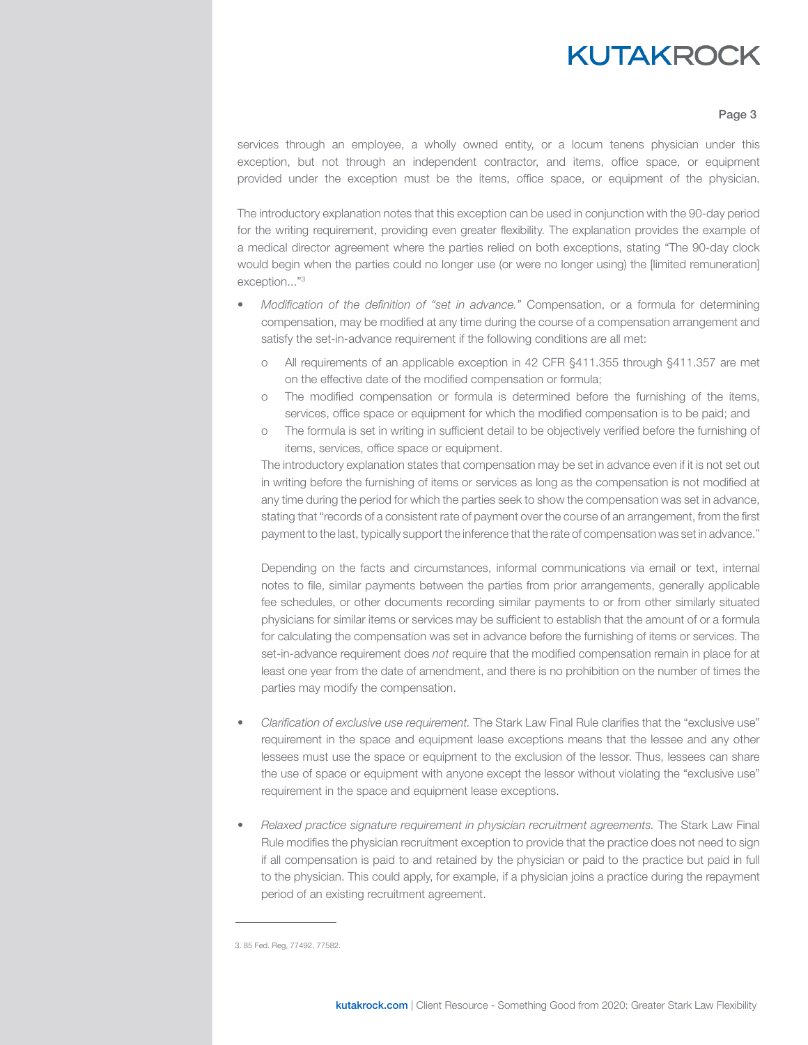#### Page 3

services through an employee, a wholly owned entity, or a locum tenens physician under this exception, but not through an independent contractor, and items, office space, or equipment provided under the exception must be the items, office space, or equipment of the physician.

The introductory explanation notes that this exception can be used in conjunction with the 90-day period for the writing requirement, providing even greater flexibility. The explanation provides the example of a medical director agreement where the parties relied on both exceptions, stating "The 90-day clock would begin when the parties could no longer use (or were no longer using) the [limited remuneration] exception..."3

- *• Modification of the definition of "set in advance."* Compensation, or a formula for determining compensation, may be modified at any time during the course of a compensation arrangement and satisfy the set-in-advance requirement if the following conditions are all met:
	- o All requirements of an applicable exception in 42 CFR §411.355 through §411.357 are met on the effective date of the modified compensation or formula;
	- o The modified compensation or formula is determined before the furnishing of the items, services, office space or equipment for which the modified compensation is to be paid; and
	- o The formula is set in writing in sufficient detail to be objectively verified before the furnishing of items, services, office space or equipment.

The introductory explanation states that compensation may be set in advance even if it is not set out in writing before the furnishing of items or services as long as the compensation is not modified at any time during the period for which the parties seek to show the compensation was set in advance, stating that "records of a consistent rate of payment over the course of an arrangement, from the first payment to the last, typically support the inference that the rate of compensation was set in advance."

Depending on the facts and circumstances, informal communications via email or text, internal notes to file, similar payments between the parties from prior arrangements, generally applicable fee schedules, or other documents recording similar payments to or from other similarly situated physicians for similar items or services may be sufficient to establish that the amount of or a formula for calculating the compensation was set in advance before the furnishing of items or services. The set-in-advance requirement does *not* require that the modified compensation remain in place for at least one year from the date of amendment, and there is no prohibition on the number of times the parties may modify the compensation.

- *• Clarification of exclusive use requirement.* The Stark Law Final Rule clarifies that the "exclusive use" requirement in the space and equipment lease exceptions means that the lessee and any other lessees must use the space or equipment to the exclusion of the lessor. Thus, lessees can share the use of space or equipment with anyone except the lessor without violating the "exclusive use" requirement in the space and equipment lease exceptions.
- *• Relaxed practice signature requirement in physician recruitment agreements.* The Stark Law Final Rule modifies the physician recruitment exception to provide that the practice does not need to sign if all compensation is paid to and retained by the physician or paid to the practice but paid in full to the physician. This could apply, for example, if a physician joins a practice during the repayment period of an existing recruitment agreement.

<sup>3. 85</sup> Fed. Reg, 77492, 77582.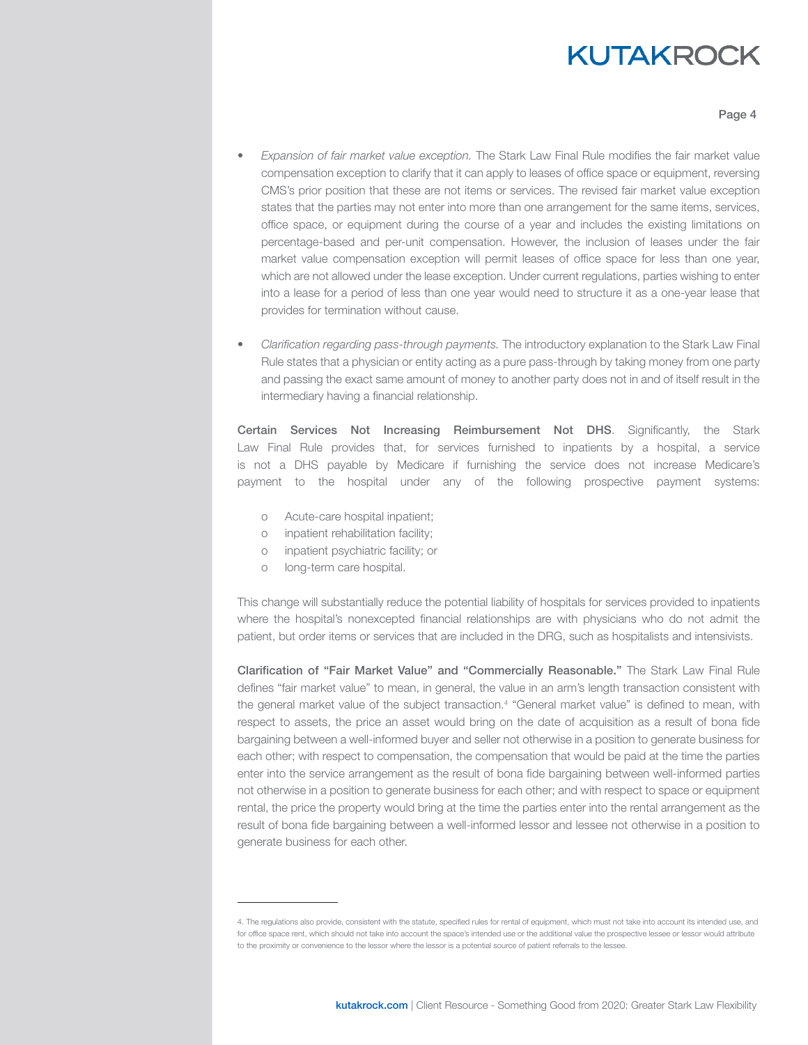Page 4

- *• Expansion of fair market value exception.* The Stark Law Final Rule modifies the fair market value compensation exception to clarify that it can apply to leases of office space or equipment, reversing CMS's prior position that these are not items or services. The revised fair market value exception states that the parties may not enter into more than one arrangement for the same items, services, office space, or equipment during the course of a year and includes the existing limitations on percentage-based and per-unit compensation. However, the inclusion of leases under the fair market value compensation exception will permit leases of office space for less than one year, which are not allowed under the lease exception. Under current regulations, parties wishing to enter into a lease for a period of less than one year would need to structure it as a one-year lease that provides for termination without cause.
- *• Clarification regarding pass-through payments.* The introductory explanation to the Stark Law Final Rule states that a physician or entity acting as a pure pass-through by taking money from one party and passing the exact same amount of money to another party does not in and of itself result in the intermediary having a financial relationship.

Certain Services Not Increasing Reimbursement Not DHS. Significantly, the Stark Law Final Rule provides that, for services furnished to inpatients by a hospital, a service is not a DHS payable by Medicare if furnishing the service does not increase Medicare's payment to the hospital under any of the following prospective payment systems:

- o Acute-care hospital inpatient;
- o inpatient rehabilitation facility;
- o inpatient psychiatric facility; or
- o long-term care hospital.

This change will substantially reduce the potential liability of hospitals for services provided to inpatients where the hospital's nonexcepted financial relationships are with physicians who do not admit the patient, but order items or services that are included in the DRG, such as hospitalists and intensivists.

Clarification of "Fair Market Value" and "Commercially Reasonable." The Stark Law Final Rule defines "fair market value" to mean, in general, the value in an arm's length transaction consistent with the general market value of the subject transaction.<sup>4</sup> "General market value" is defined to mean, with respect to assets, the price an asset would bring on the date of acquisition as a result of bona fide bargaining between a well-informed buyer and seller not otherwise in a position to generate business for each other; with respect to compensation, the compensation that would be paid at the time the parties enter into the service arrangement as the result of bona fide bargaining between well-informed parties not otherwise in a position to generate business for each other; and with respect to space or equipment rental, the price the property would bring at the time the parties enter into the rental arrangement as the result of bona fide bargaining between a well-informed lessor and lessee not otherwise in a position to generate business for each other.

<sup>4.</sup> The regulations also provide, consistent with the statute, specified rules for rental of equipment, which must not take into account its intended use, and for office space rent, which should not take into account the space's intended use or the additional value the prospective lessee or lessor would attribute to the proximity or convenience to the lessor where the lessor is a potential source of patient referrals to the lessee.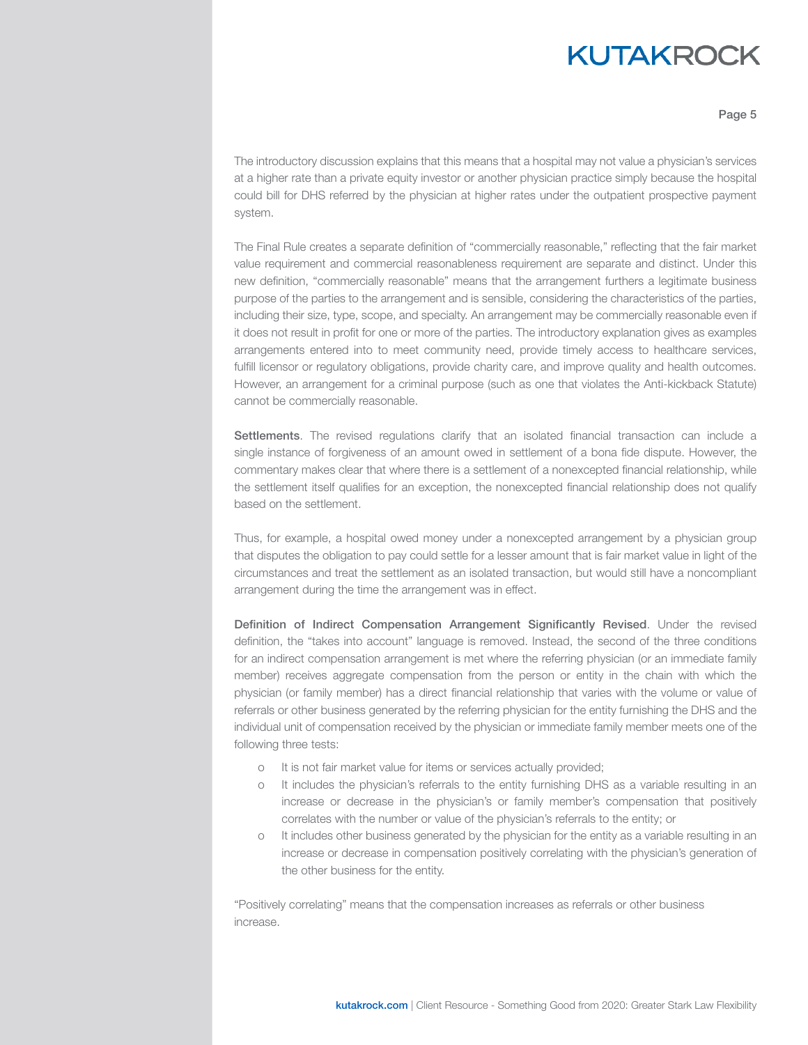Page 5

The introductory discussion explains that this means that a hospital may not value a physician's services at a higher rate than a private equity investor or another physician practice simply because the hospital could bill for DHS referred by the physician at higher rates under the outpatient prospective payment system.

The Final Rule creates a separate definition of "commercially reasonable," reflecting that the fair market value requirement and commercial reasonableness requirement are separate and distinct. Under this new definition, "commercially reasonable" means that the arrangement furthers a legitimate business purpose of the parties to the arrangement and is sensible, considering the characteristics of the parties, including their size, type, scope, and specialty. An arrangement may be commercially reasonable even if it does not result in profit for one or more of the parties. The introductory explanation gives as examples arrangements entered into to meet community need, provide timely access to healthcare services, fulfill licensor or regulatory obligations, provide charity care, and improve quality and health outcomes. However, an arrangement for a criminal purpose (such as one that violates the Anti-kickback Statute) cannot be commercially reasonable.

Settlements. The revised regulations clarify that an isolated financial transaction can include a single instance of forgiveness of an amount owed in settlement of a bona fide dispute. However, the commentary makes clear that where there is a settlement of a nonexcepted financial relationship, while the settlement itself qualifies for an exception, the nonexcepted financial relationship does not qualify based on the settlement.

Thus, for example, a hospital owed money under a nonexcepted arrangement by a physician group that disputes the obligation to pay could settle for a lesser amount that is fair market value in light of the circumstances and treat the settlement as an isolated transaction, but would still have a noncompliant arrangement during the time the arrangement was in effect.

Definition of Indirect Compensation Arrangement Significantly Revised. Under the revised definition, the "takes into account" language is removed. Instead, the second of the three conditions for an indirect compensation arrangement is met where the referring physician (or an immediate family member) receives aggregate compensation from the person or entity in the chain with which the physician (or family member) has a direct financial relationship that varies with the volume or value of referrals or other business generated by the referring physician for the entity furnishing the DHS and the individual unit of compensation received by the physician or immediate family member meets one of the following three tests:

- o It is not fair market value for items or services actually provided;
- o It includes the physician's referrals to the entity furnishing DHS as a variable resulting in an increase or decrease in the physician's or family member's compensation that positively correlates with the number or value of the physician's referrals to the entity; or
- o It includes other business generated by the physician for the entity as a variable resulting in an increase or decrease in compensation positively correlating with the physician's generation of the other business for the entity.

"Positively correlating" means that the compensation increases as referrals or other business increase.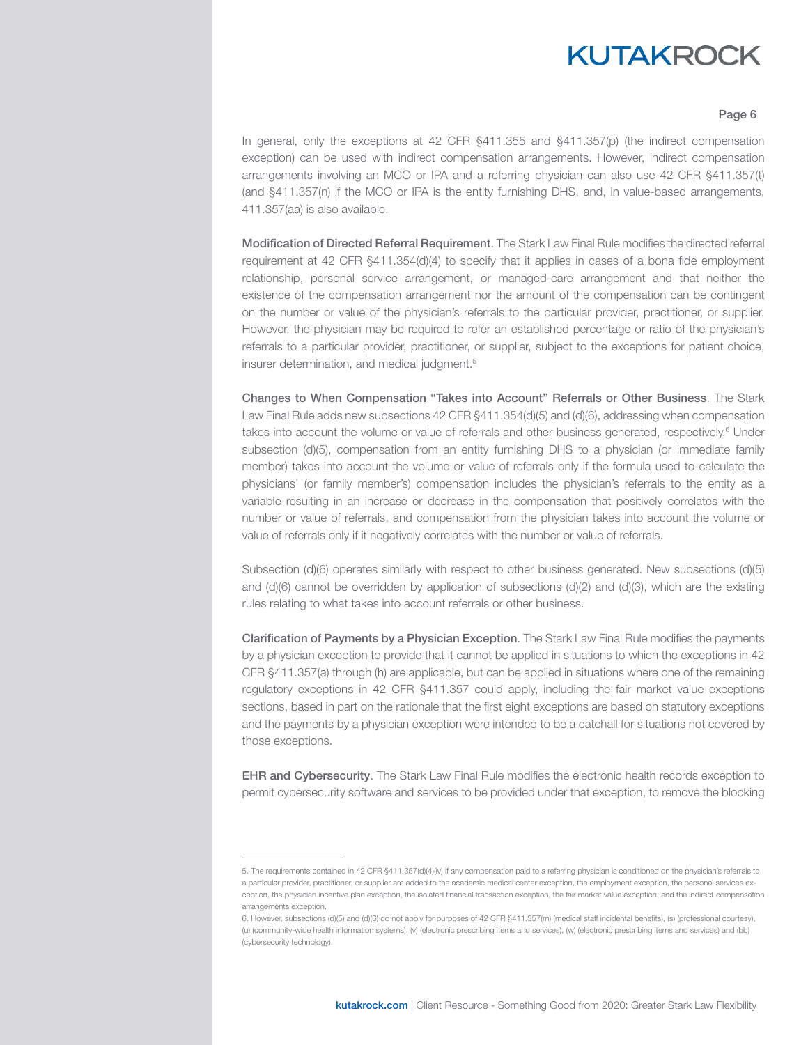#### Page 6

In general, only the exceptions at 42 CFR §411.355 and §411.357(p) (the indirect compensation exception) can be used with indirect compensation arrangements. However, indirect compensation arrangements involving an MCO or IPA and a referring physician can also use 42 CFR §411.357(t) (and §411.357(n) if the MCO or IPA is the entity furnishing DHS, and, in value-based arrangements, 411.357(aa) is also available.

Modification of Directed Referral Requirement. The Stark Law Final Rule modifies the directed referral requirement at 42 CFR §411.354(d)(4) to specify that it applies in cases of a bona fide employment relationship, personal service arrangement, or managed-care arrangement and that neither the existence of the compensation arrangement nor the amount of the compensation can be contingent on the number or value of the physician's referrals to the particular provider, practitioner, or supplier. However, the physician may be required to refer an established percentage or ratio of the physician's referrals to a particular provider, practitioner, or supplier, subject to the exceptions for patient choice, insurer determination, and medical judgment.<sup>5</sup>

Changes to When Compensation "Takes into Account" Referrals or Other Business. The Stark Law Final Rule adds new subsections 42 CFR §411.354(d)(5) and (d)(6), addressing when compensation takes into account the volume or value of referrals and other business generated, respectively.<sup>6</sup> Under subsection (d)(5), compensation from an entity furnishing DHS to a physician (or immediate family member) takes into account the volume or value of referrals only if the formula used to calculate the physicians' (or family member's) compensation includes the physician's referrals to the entity as a variable resulting in an increase or decrease in the compensation that positively correlates with the number or value of referrals, and compensation from the physician takes into account the volume or value of referrals only if it negatively correlates with the number or value of referrals.

Subsection (d)(6) operates similarly with respect to other business generated. New subsections (d)(5) and (d)(6) cannot be overridden by application of subsections (d)(2) and (d)(3), which are the existing rules relating to what takes into account referrals or other business.

Clarification of Payments by a Physician Exception. The Stark Law Final Rule modifies the payments by a physician exception to provide that it cannot be applied in situations to which the exceptions in 42 CFR §411.357(a) through (h) are applicable, but can be applied in situations where one of the remaining regulatory exceptions in 42 CFR §411.357 could apply, including the fair market value exceptions sections, based in part on the rationale that the first eight exceptions are based on statutory exceptions and the payments by a physician exception were intended to be a catchall for situations not covered by those exceptions.

**EHR and Cybersecurity**. The Stark Law Final Rule modifies the electronic health records exception to permit cybersecurity software and services to be provided under that exception, to remove the blocking

<sup>5.</sup> The requirements contained in 42 CFR §411.357(d)(4)(iv) if any compensation paid to a referring physician is conditioned on the physician's referrals to a particular provider, practitioner, or supplier are added to the academic medical center exception, the employment exception, the personal services exception, the physician incentive plan exception, the isolated financial transaction exception, the fair market value exception, and the indirect compensation arrangements exception.

<sup>6.</sup> However, subsections (d)(5) and (d)(6) do not apply for purposes of 42 CFR §411.357(m) (medical staff incidental benefits), (s) (professional courtesy), (u) (community-wide health information systems), (v) (electronic prescribing items and services), (w) (electronic prescribing items and services) and (bb) (cybersecurity technology).